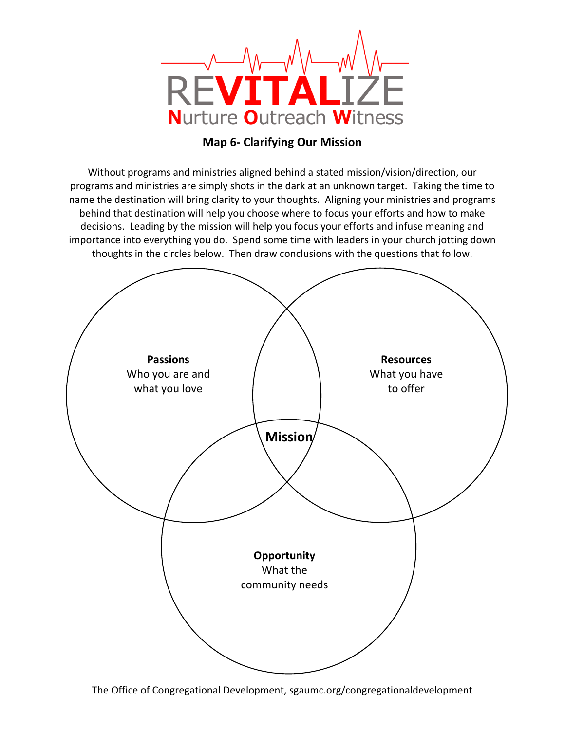

## **Map 6- Clarifying Our Mission**

Without programs and ministries aligned behind a stated mission/vision/direction, our programs and ministries are simply shots in the dark at an unknown target. Taking the time to name the destination will bring clarity to your thoughts. Aligning your ministries and programs behind that destination will help you choose where to focus your efforts and how to make decisions. Leading by the mission will help you focus your efforts and infuse meaning and importance into everything you do. Spend some time with leaders in your church jotting down thoughts in the circles below. Then draw conclusions with the questions that follow.